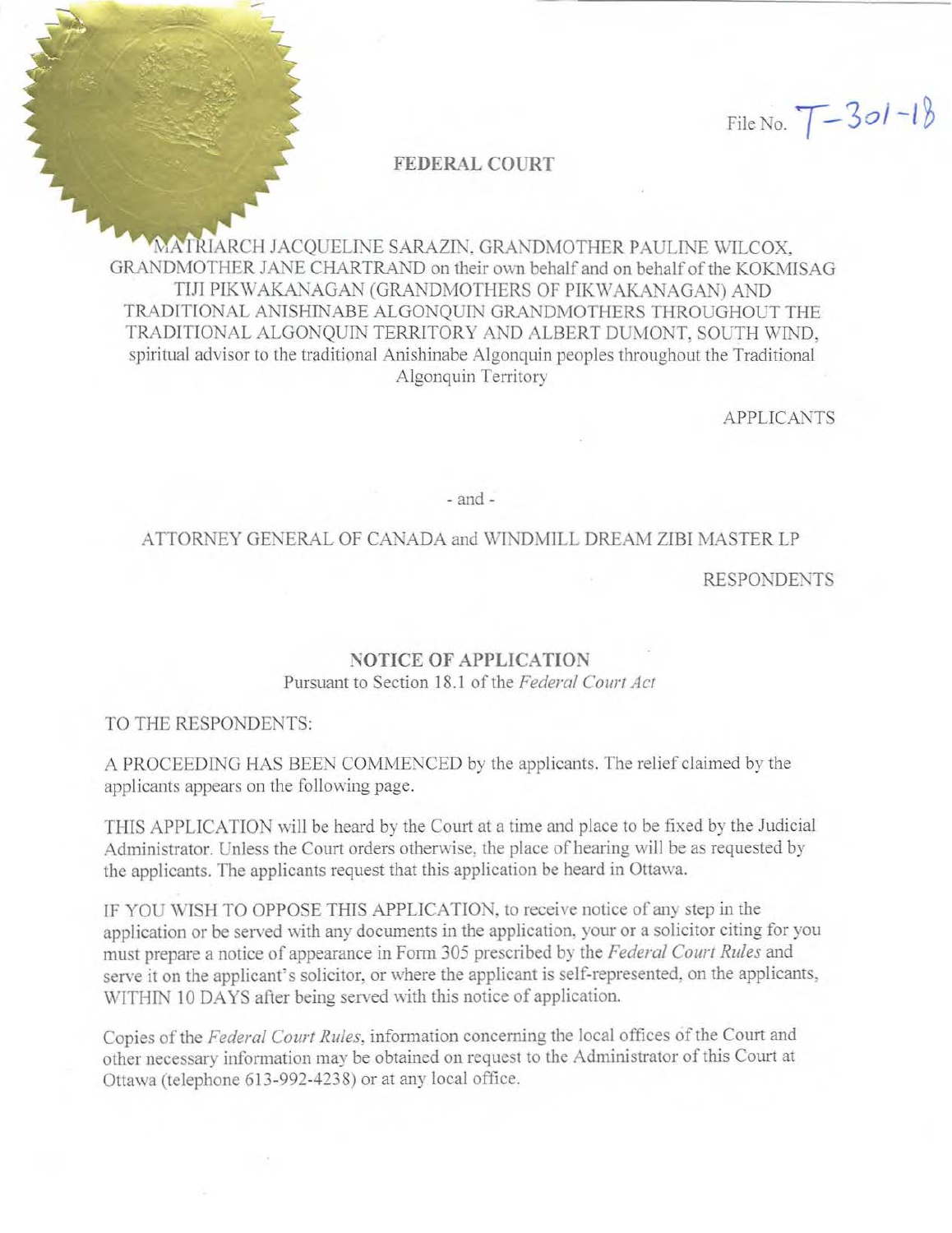File No.  $T-3$ *ol*  $-18$ 

#### **FEDERAL COURT**

MATRIARCH JACQUELINE SARAZIN. GRANDMOTHER PAULINE WILCOX, GRANDMOTHER JANE CHARTRAND on their own behalf and on behalf of the KOKMISAG TIJI PIKWAKANAGAN (GRANDMOTHERS OF PIKWAKANAGAN) AND TRADITIONAL ANISHINABE ALGONQUIN GRANDMOTHERS THROUGHOUT THE TRADITIONAL ALGONQUIN TERRITORY AND ALBERT DUMONT, SOUTH WIND, spiritual advisor to the traditional Anishinabe Algonquin peoples throughout the Traditional Algonquin Territory

**APPLICANTS** 

- and -

#### ATTORNEY GENERAL OF CANADA and WINDMILL DREAM ZIBI MASTER LP

**RESPONDENTS** 

### **NOTICE OF APPLICATION**

Pursuant to Section 18.l of the *Federal Court Act* 

#### TO THE RESPONDENTS:

A PROCEEDING HAS BEEN COMMENCED by the applicants. The relief claimed by the applicants appears on the following page.

THIS APPLICATION will be heard by the Court at a time and place to be fixed by the Judicial Administrator. Unless the Court orders otherwise, the place of hearing will be as requested by the applicants. The applicants request that this application be heard in Ottawa.

IF YOU WISH TO OPPOSE THIS APPLICATION, to receive notice of any step in the application or be served with any docmnents in the application. your or a solicitor citing for you must prepare a notice of appearance in Form 305 prescribed by the *Federal Court Rules* and serve it on the applicant's solicitor, or where the applicant is self-represented, on the applicants, WITHIN 10 DAYS after being served with this notice of application.

Copies of the *Federal Court Rules*, information concerning the local offices of the Court and other necessary information may be obtained on request to the Administrator of this Court at Ottawa (telephone 613-992-4238) or at any local office.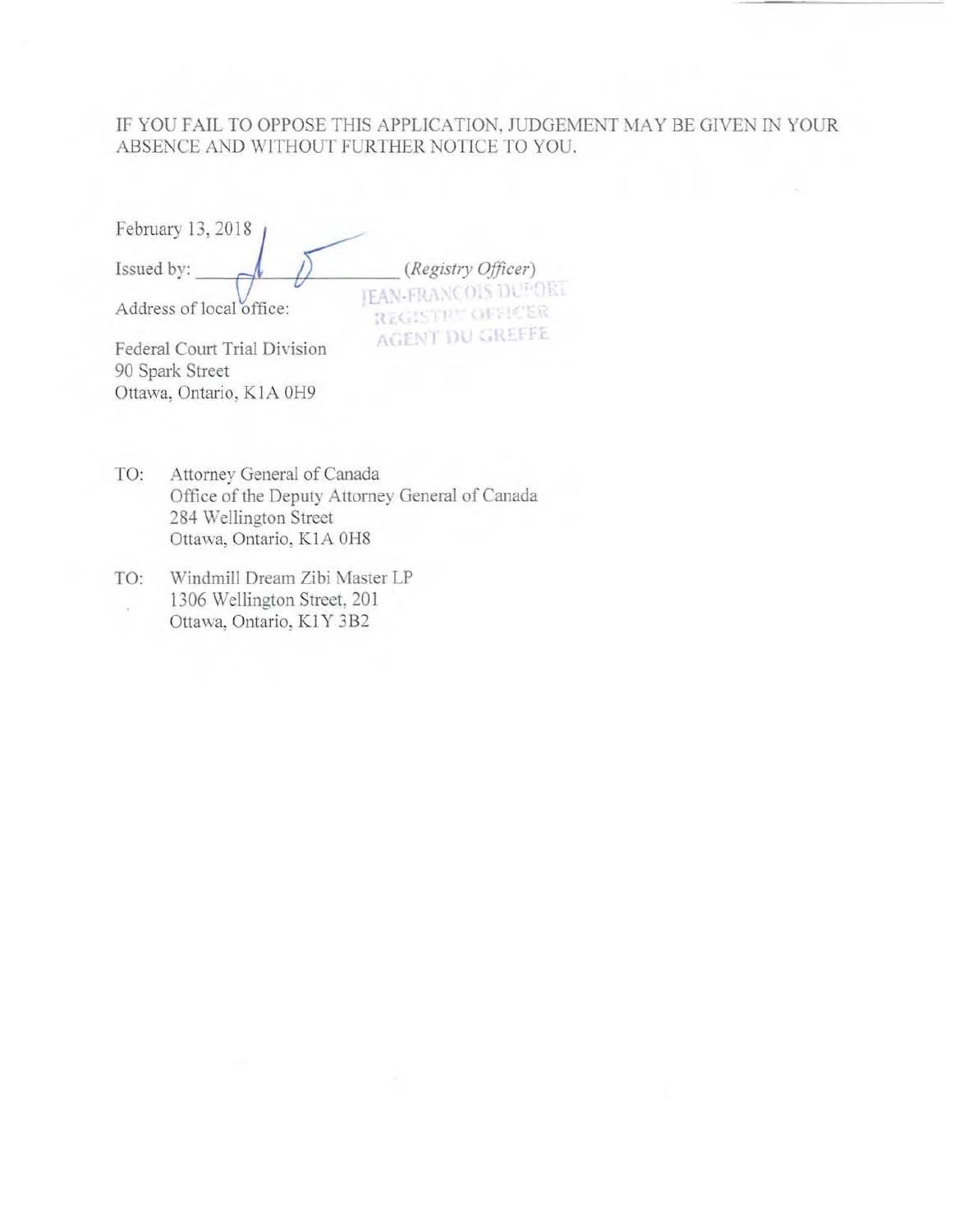### IF YOU FAIL TO OPPOSE THIS APPLICATION, JUDGEMENT MAY BE GIVEN IN YOUR ABSENCE AND WITHOUT FURTHER NOTICE TO YOU.

| February 13, 2018            |                                                |
|------------------------------|------------------------------------------------|
| Issued by:                   | (Registry Officer)                             |
| Address of local office:     | <b>JEAN-FRANCOIS DUPOR</b><br>REGISTRY OFFICER |
| Federal Court Trial Division | <b>AGENT DU GREEFE</b>                         |

Federal Court Trial Division 90 Spark Street Ottawa, Ontario, KlA OH9

- TO: Attorney General of Canada Office of the Deputy Attorney General of Canada 284 Wellington Street Ottawa, Ontario, KIA OH8
- TO: Windmill Dream Zibi Master LP 1306 Wellington Street, 201 Ottawa, Ontario, Kl Y 3B2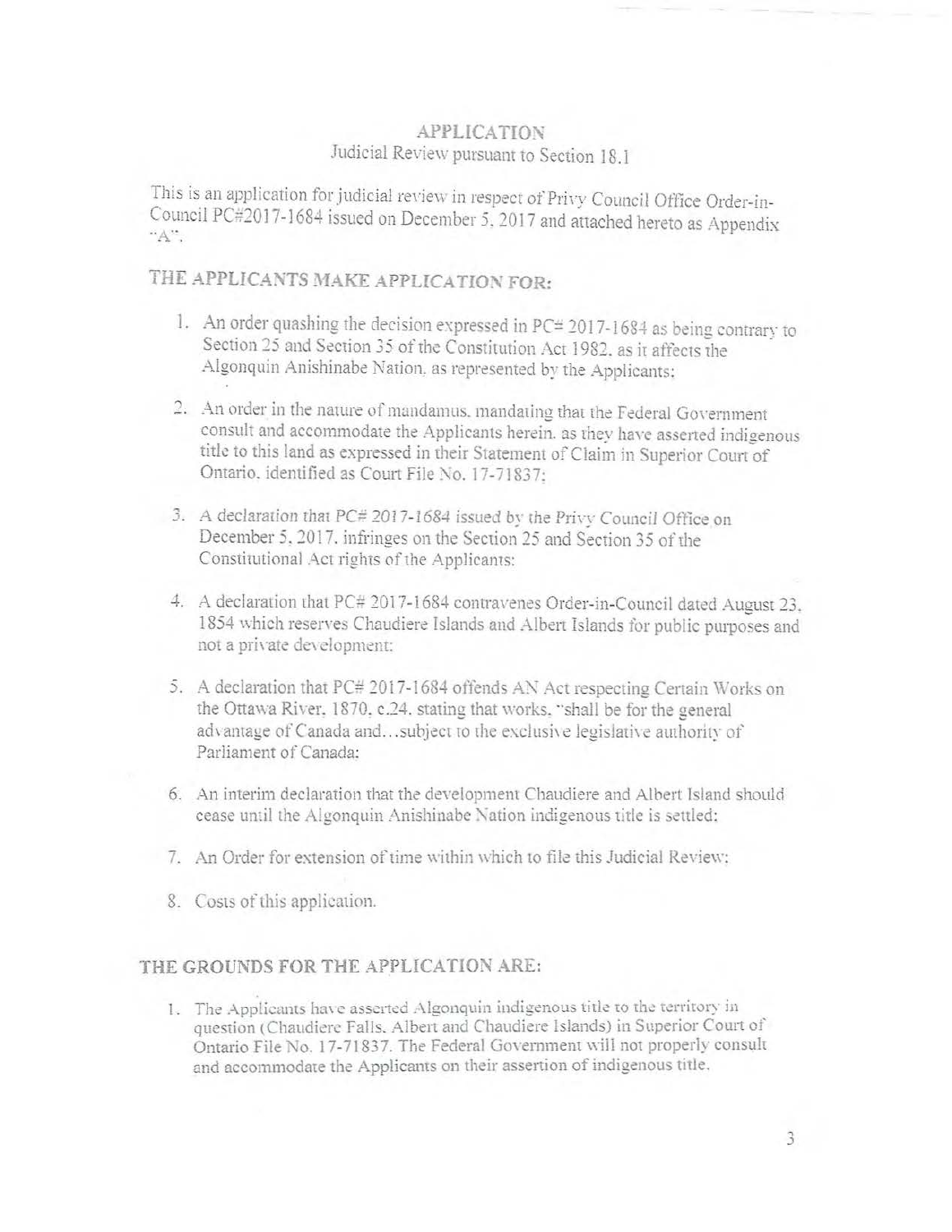### **APPLICATION** Judicial Review pursuant to Section 18.1

This is an application for judicial review in respect of Privy Council Office Order-in-Council PC#2017-1684 issued on December 5, 2017 and attached hereto as Appendix  $A$ ".

# THE APPLICANTS MAKE APPLICATION FOR:

- 1. An order quashing the decision expressed in  $PC = 2017 1684$  as being contrary to Section 25 and Section 35 of the Constitution Act 1982, as it affects the Algonquin Anishinabe Nation, as represented by the Applicants;
- 2. An order in the nature of mandamus, mandating that the Federal Government consult and accommodate the Applicants herein, as they have asserted indigenous title to this land as expressed in their Statement of Claim in Superior Court of Ontario. identified as Court File No. 17-71837:
- 3. A declaration that PC# 2017-1684 issued by the Privy Council Office on December 5, 2017, infringes on the Section 25 and Section 35 of the Constitutional Act rights of the Applicants:
- 4. A declaration that PC# 2017-1684 contravenes Order-in-Council dated August 23. 1854 which reserves Chaudiere Islands and Albert Islands for public purposes and not a private development:
- 5. A declaration that PC# 2017-1684 offends AN Act respecting Certain Works on the Ottawa River, 1870, c.24, stating that works, "shall be for the general advantage of Canada and...subject to the exclusive legislative authority of Parliament of Canada:
- 6. An interim declaration that the development Chaudiere and Albert Island should cease until the Algonquin Anishinabe Nation indigenous title is settled:
- 7. An Order for extension of time within which to file this Judicial Review:
- 8. Costs of this application.

## THE GROUNDS FOR THE APPLICATION ARE:

1. The Applicants have asserted Algonquin indigenous title to the territory in question (Chaudiere Falls, Albert and Chaudiere Islands) in Superior Court of Ontario File No. 17-71837. The Federal Government will not properly consult and accommodate the Applicants on their assertion of indigenous title.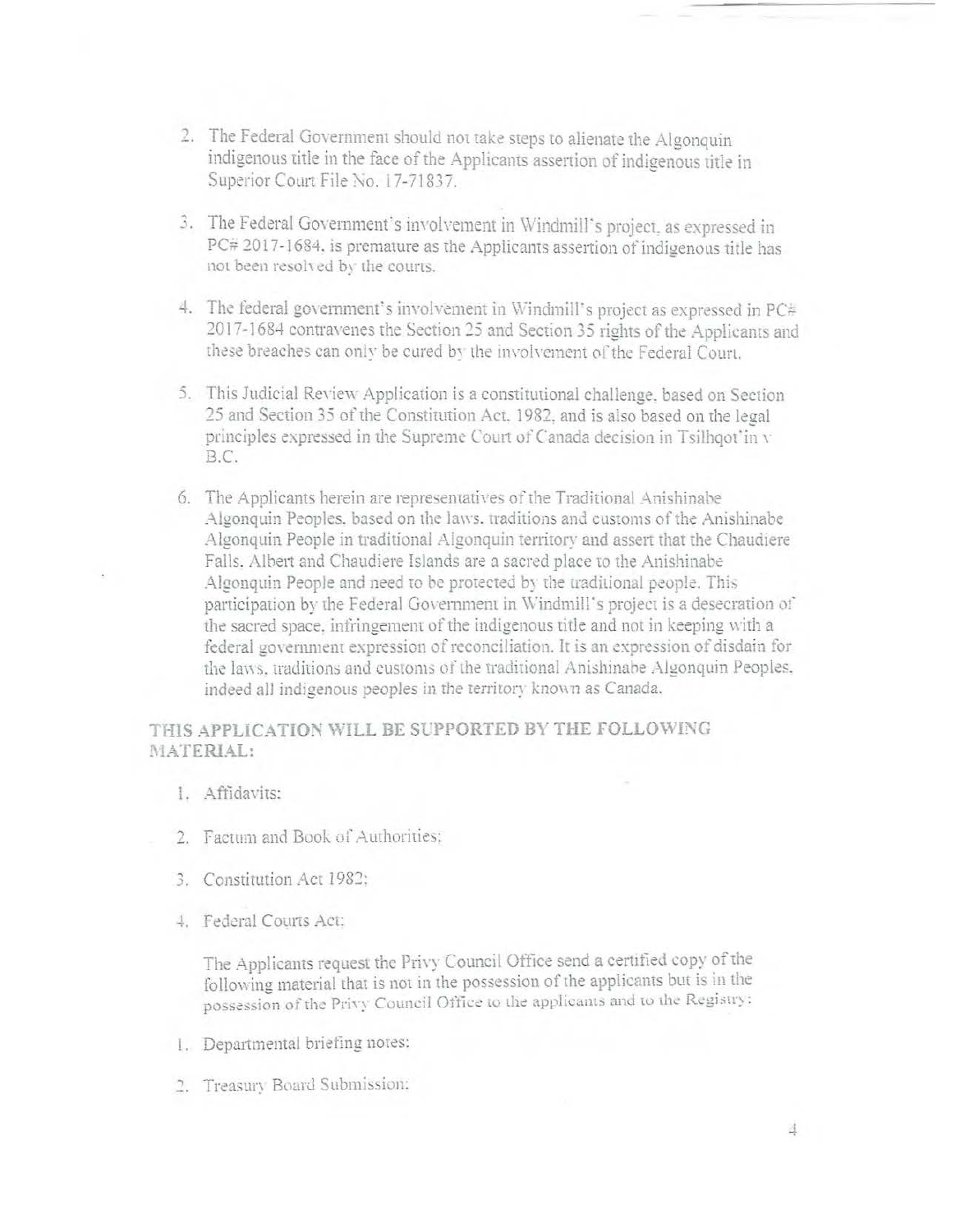- 2. The Federal Government should not take steps to alienate the Algonquin indigenous title in the face of the Applicants assertion of indigenous title in Superior Court File No. 17-71837.
- 3. The Federal Government's involvement in Windmill's project, as expressed in PC# 2017-1684, is premature as the Applicants assertion of indigenous title has not been resolved by the courts.
- 4. The federal government's involvement in Windmill's project as expressed in PC# 2017-1684 contravenes the Section 25 and Section 35 rights of the Applicants and these breaches can only be cured by the involvement of the Federal Court.
- 5. This Judicial Review Application is a constitutional challenge, based on Section 25 and Section 35 of the Constitution Act. 1982, and is also based on the legal principles expressed in the Supreme Court of Canada decision in Tsilhqot'in v B.C.
- 6. The Applicants herein are representatives of the Traditional Anishinabe Algonquin Peoples, based on the laws, traditions and customs of the Anishinabe Algonquin People in traditional Algonquin territory and assert that the Chaudiere Falls. Albert and Chaudiere Islands are a sacred place to the Anishinabe Algonquin People and need to be protected by the traditional people. This participation by the Federal Government in Windmill's project is a desecration of the sacred space, infringement of the indigenous title and not in keeping with a federal government expression of reconciliation. It is an expression of disdain for the laws, traditions and customs of the traditional Anishinabe Algonquin Peoples, indeed all indigenous peoples in the territory known as Canada.

### THIS APPLICATION WILL BE SUPPORTED BY THE FOLLOWING MATERIAL:

- 1. Affidavits:
- 2. Factum and Book of Authorities:
- 3. Constitution Act 1982:
- 4. Federal Courts Act:

The Applicants request the Privy Council Office send a certified copy of the following material that is not in the possession of the applicants but is in the possession of the Privy Council Office to the applicants and to the Registry:

- 1. Departmental briefing notes:
- 2. Treasury Board Submission: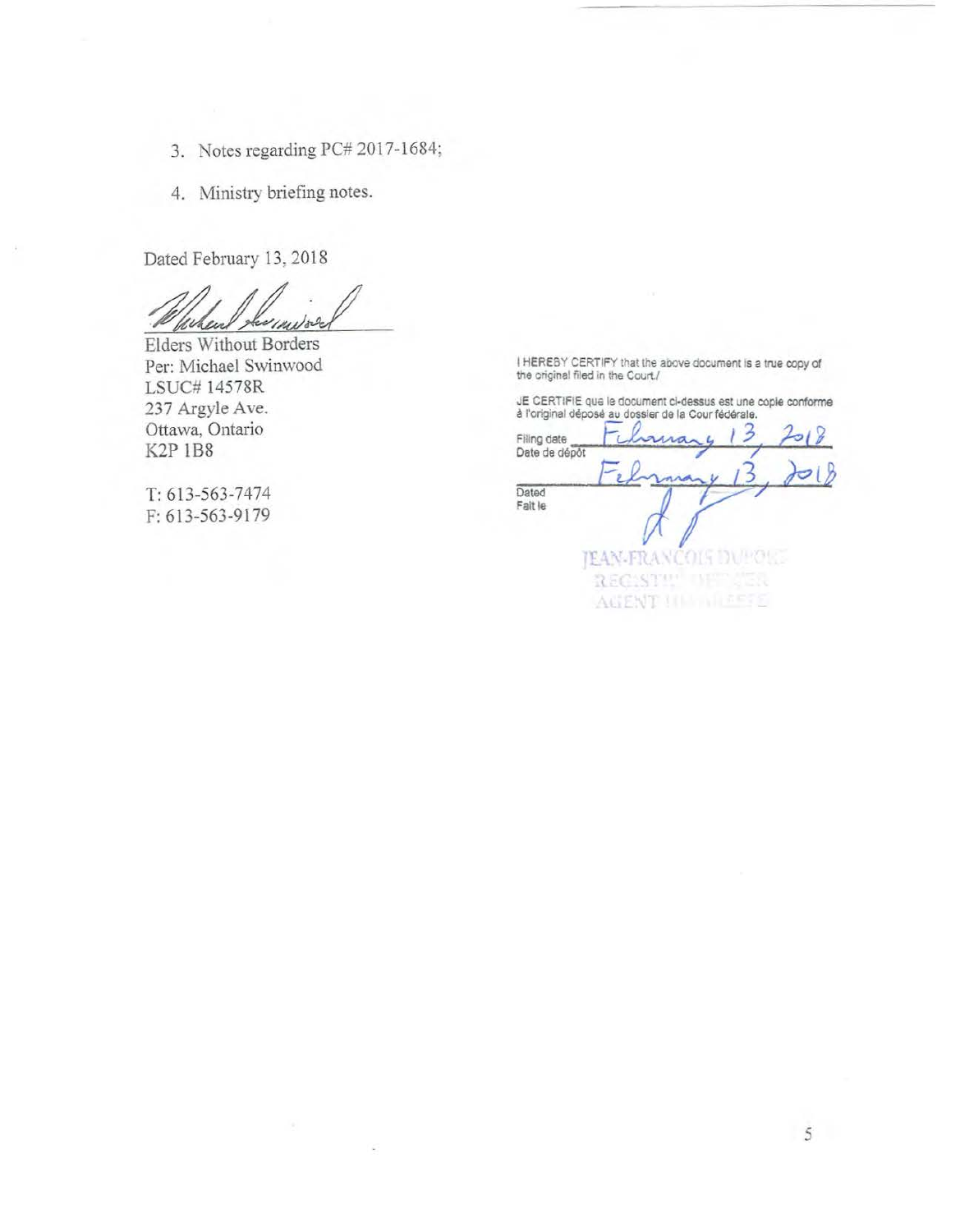- 3. Notes regarding PC# 2017-1684;
- 4. Ministry briefing notes.

Dated February 13, 2018

When

Elders Without Borders Per: Michael Swinwood LSUC# 14578R 237 Argyle Ave. Ottawa, Ontario **K2P 1B8** 

T: 613-563-7474 F: 613-563-9179

I HEREBY CERTIFY that the above document is a true copy of the original filed in the Court./

JE CERTIFIE que le document ci-dessus est une copie conforme<br>à l'original déposé au dossier de la Cour fédérale.

| Filing date<br>Date de dépôt |                           |
|------------------------------|---------------------------|
|                              |                           |
| Dated<br>Fait le             |                           |
|                              |                           |
|                              |                           |
|                              | <b>JEAN-FRANCOIS DUPC</b> |
|                              | <b>REGES</b>              |
|                              | √ğ⊯<br>ACCENT             |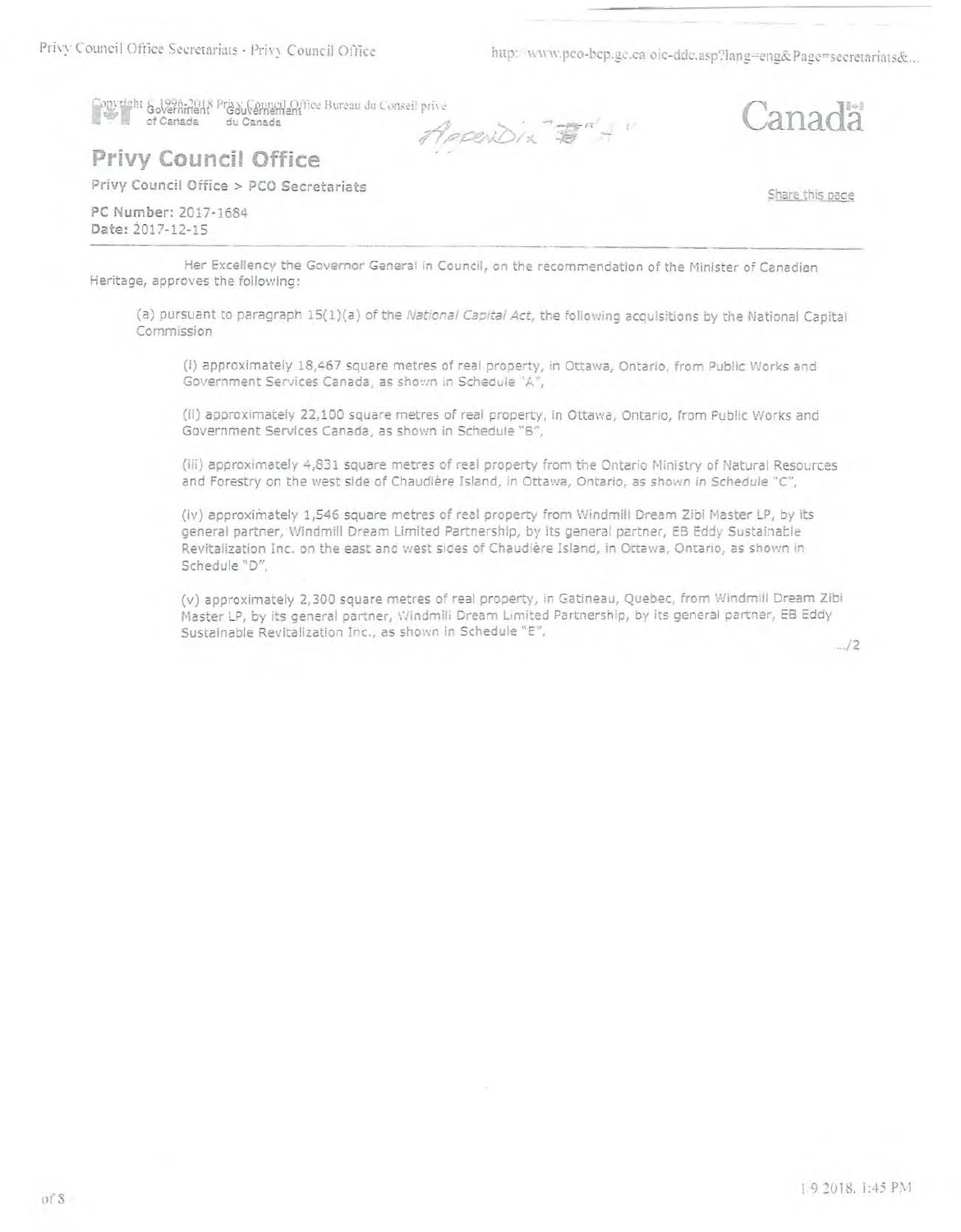http://www.pco-bcp.gc.ca/oic-ddc.asp?lang=eng&Page=secretariats&...

Copyright & 1996-2018 Proxy Council Office Bureau du Conseil privé of Canada du Canada Appendix  $B''$ +

# Privy Council Office

Privy Council Office > PCO Secretariats

PC Number: 2017-1684 Date: 2017-12-15

Share this page

anada

Her Excellency the Governor General in Council, on the recommendation of the Minister of Canadian Heritage, approves the following:

(a) pursuant to paragraph 15(1)(a) of the National Capital Act, the following acquisitions by the National Capital Commission

(i) approximately 18,467 square metres of real property, in Ottawa, Ontarlo, from Public Works and Government Services Canada, as shown in Schedule 'A",

(ii) approximately 22,100 square metres of real property, in Ottawa, Ontario, from Public Works and Government Services Canada, as shown in Schedule "B",

(iii) approximately 4,831 square metres of real property from the Ontario Ministry of Natural Resources and Forestry on the west side of Chaudière Island, in Ottawa, Ontario, as shown in Schedule "C",

(iv) approximately 1,546 square metres of real property from Windmill Dream Zibi Master LP, by its general partner, Windmill Dream Limited Partnership, by its general partner, EB Eddy Sustainable Revitalization Inc. on the east and west sides of Chaudière Island, in Ottawa, Ontario, as shown in Schedule "D",

(v) approximately 2,300 square metres of real property, in Gatineau, Quebec, from Windmill Dream Zibi Master LP, by its general partner, Windmill Dream Limited Partnership, by its general partner, EB Eddy Sustainable Revitalization Inc., as shown in Schedule "E",

 $1/2$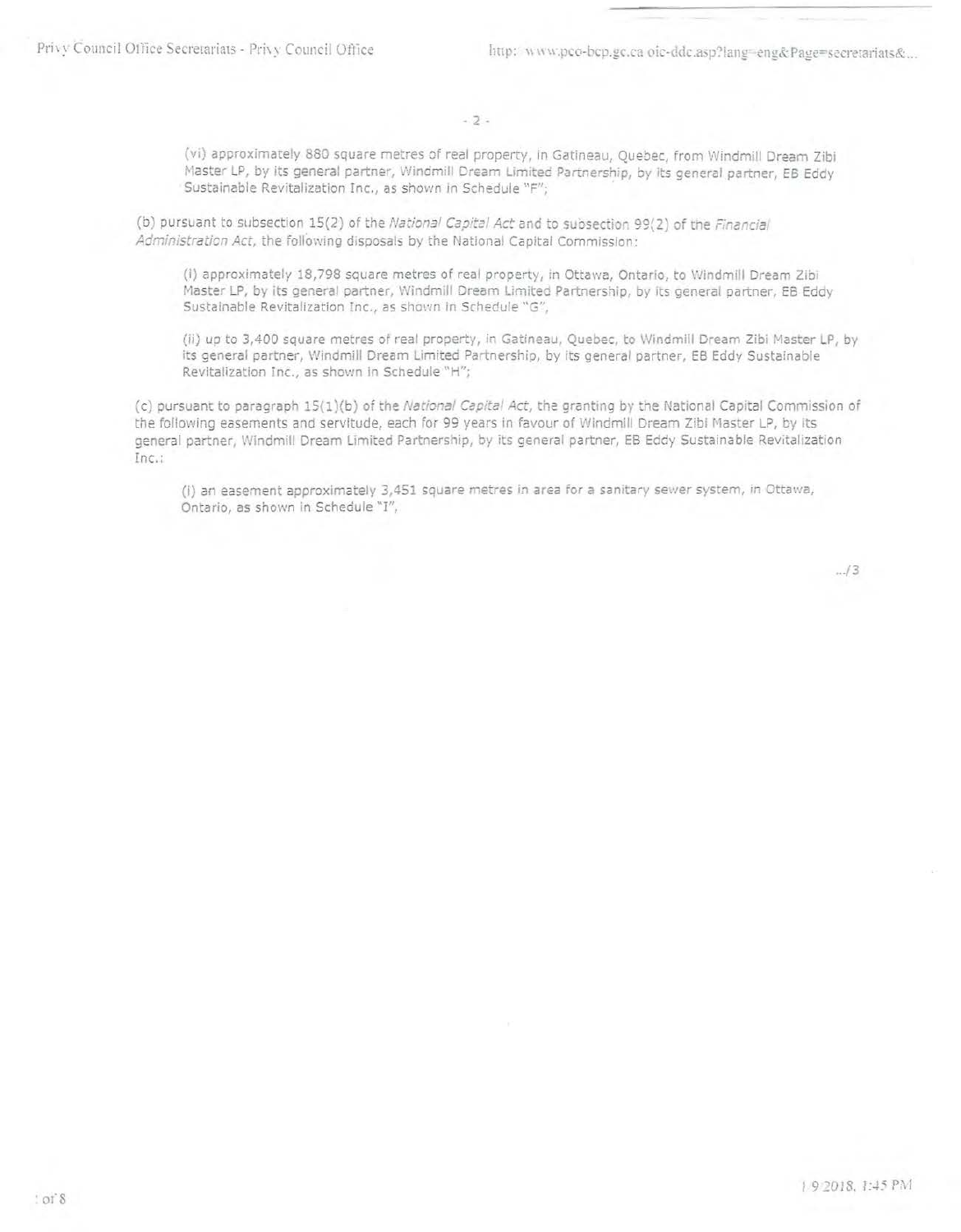(vi) approximately 880 square metres of real property, in Gatineau, Quebec, from Windmill Dream Zibi Master LP, by its general partner, Windmill Dream Limited Partnership, by its general partner, EB Eddy Sustainable Revitalization Inc., as shown in Schedule "F";

(b) pursuant to subsection 15(2) of the National Capital Act and to subsection 99(2) of the Financial Administration Act, the following disposals by the National Capital Commission:

(i) approximately 18,798 square metres of real property, in Ottawa, Ontario, to Windmill Dream Zibi Master LP, by its general partner, Windmill Dream Limited Partnership, by its general partner, EB Eddy Sustainable Revitalization Inc., as shown in Schedule "G",

(ii) up to 3,400 square metres of real property, in Gatineau, Quebec, to Windmill Dream Zibi Master LP, by its general partner, Windmill Dream Limited Partnership, by its general partner, EB Eddy Sustainable Revitalization Inc., as shown in Schedule "H";

(c) pursuant to paragraph 15(1)(b) of the National Capital Act, the granting by the National Capital Commission of the following easements and servitude, each for 99 years in favour of Windmill Dream Zibi Master LP, by its general partner, Windmill Dream Limited Partnership, by its general partner, EB Eddy Sustainable Revitalization Inc.:

(i) an easement approximately 3,451 square metres in area for a sanitary sewer system, in Ottawa, Ontario, as shown in Schedule "I",

 $.13$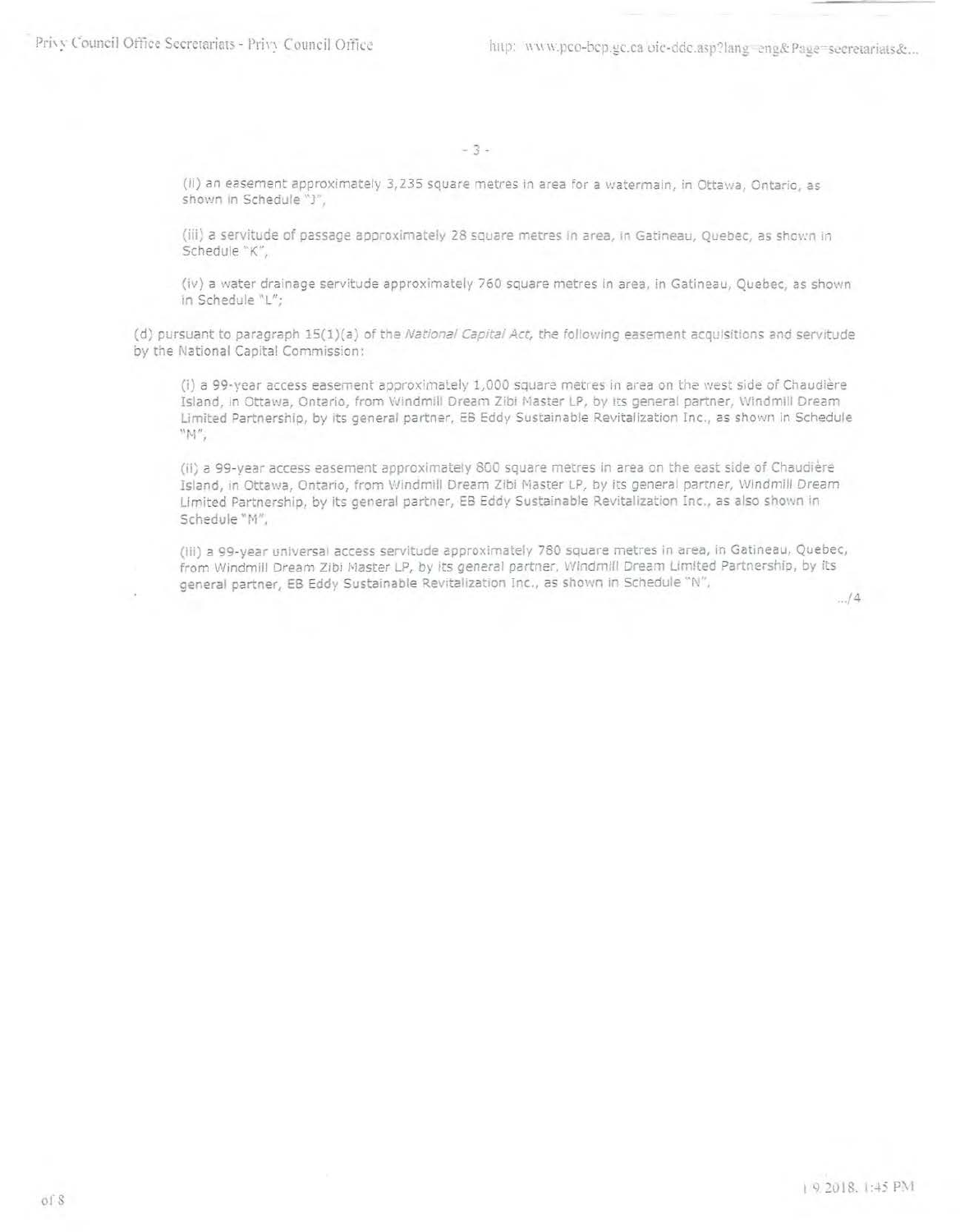$-3+$ 

(ii) an easement approximately 3,235 square metres in area for a watermain, in Ottawa, Ontario, as shown in Schedule "3",

(iii) a servitude of passage approximately 28 square metres in area, in Gatineau, Quebec, as shown in Schedule "K",

(iv) a water drainage servitude approximately 760 square metres in area, in Gatineau, Quebec, as shown in Schedule "L";

(d) pursuant to paragraph 15(1)(a) of the National Capital Act, the following easement acquisitions and servitude by the National Capital Commission:

(i) a 99-year access easement approximately 1,000 square metres in area on the west side of Chaudière Island, in Ottawa, Ontario, from Windmill Dream Zibi Master LP, by its general partner, Windmill Dream Limited Partnership, by its general partner, EB Eddy Sustainable Revitalization Inc., as shown in Schedule  $"M".$ 

(ii) a 99-year access easement approximately 800 square metres in area on the east side of Chaudière Island, in Ottawa, Ontario, from Windmill Dream Zibi Master LP, by its general partner, Windmill Dream Limited Partnership, by its general partner, EB Eddy Sustainable Revitalization Inc., as also shown in Schedule "M",

(iii) a 99-year universal access servitude approximately 780 square metres in area, in Gatineau, Quebec, from Windmill Dream Zibi Master LP, by its general partner, Windmill Dream Limited Partnership, by its deneral partner. EB Eddy Sustainable Revitalization Inc., as shown in Schedule "N",

 $\frac{1}{2}$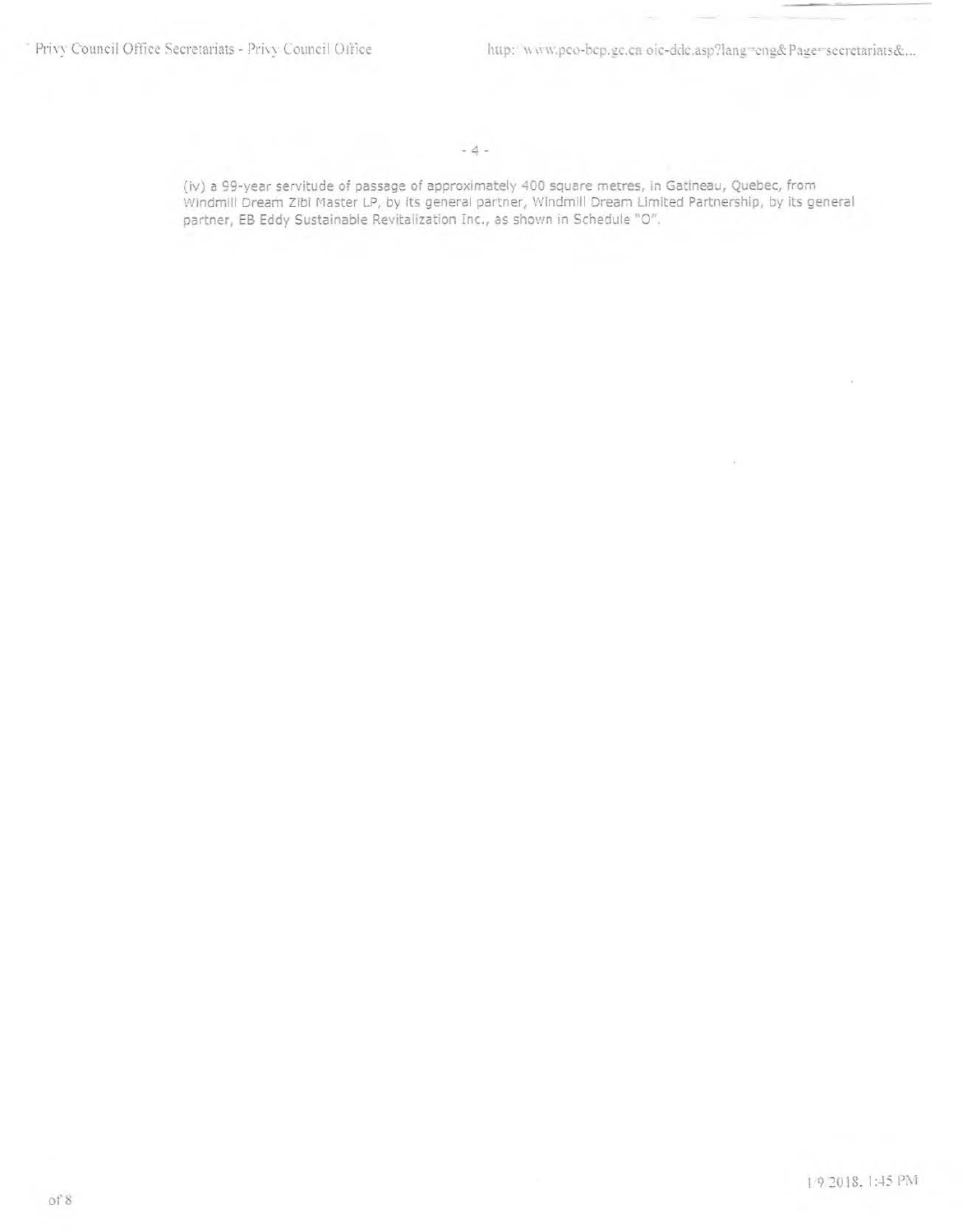$\alpha$ 

(iv) a 99-year servitude of passage of approximately 400 square metres, in Gatineau, Quebec, from Windmill Dream Zibi Master LP, by its general partner, Windmill Dream Limited Partnership, by its general partner, EB Eddy Sustainable Revitalization Inc., as shown in Schedule "O".